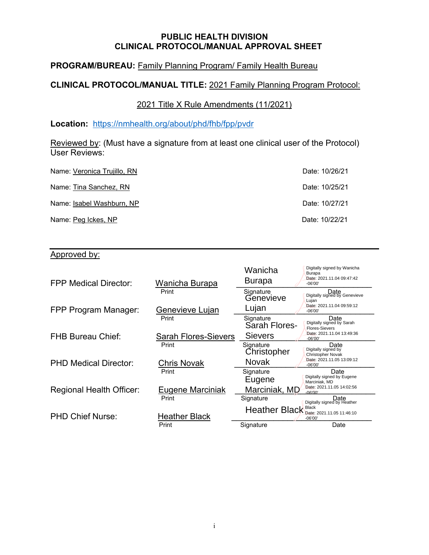#### **PUBLIC HEALTH DIVISION CLINICAL PROTOCOL/MANUAL APPROVAL SHEET**

# **PROGRAM/BUREAU:** Family Planning Program/ Family Health Bureau

# **CLINICAL PROTOCOL/MANUAL TITLE:** 2021 Family Planning Program Protocol:

2021 Title X Rule Amendments (11/2021)

**Location:** <https://nmhealth.org/about/phd/fhb/fpp/pvdr>

Reviewed by: (Must have a signature from at least one clinical user of the Protocol) User Reviews:

| Name: Veronica Trujillo, RN | Date: 10/26/21 |
|-----------------------------|----------------|
| Name: Tina Sanchez, RN      | Date: 10/25/21 |
| Name: Isabel Washburn, NP   | Date: 10/27/21 |
| Name: Peg Ickes, NP         | Date: 10/22/21 |

# Approved by:

| <b>FPP Medical Director:</b>    | Wanicha Burapa              | Wanicha<br><b>Burapa</b>   | Digitally signed by Wanicha<br><b>Burapa</b><br>Date: 2021.11.04 09:47:42<br>$-06'00'$ |
|---------------------------------|-----------------------------|----------------------------|----------------------------------------------------------------------------------------|
|                                 | Print                       | Signature<br>Genevieve     | Date<br>Digitally signed by Genevieve<br>Lujan                                         |
| FPP Program Manager:            | Genevieve Lujan             | Lujan                      | Date: 2021.11.04 09:59:12<br>$-06'00'$                                                 |
|                                 | Print                       | Signature<br>Sarah Flores- | Date<br>Digitally signed by Sarah<br><b>Flores-Sievers</b>                             |
| <b>FHB Bureau Chief:</b>        | <b>Sarah Flores-Sievers</b> | <b>Sievers</b>             | Date: 2021.11.04 13:49:36<br>$-06'00'$                                                 |
|                                 | Print                       | Signature<br>Christopher   | Date<br>Digitally signed by<br>Christopher Novak                                       |
| <b>PHD Medical Director:</b>    | Chris Novak                 | <b>Novak</b>               | Date: 2021.11.05 13:09:12<br>$-06'00'$                                                 |
|                                 | Print                       | Signature<br>Eugene        | Date<br>Digitally signed by Eugene<br>Marciniak, MD                                    |
| <b>Regional Health Officer:</b> | Eugene Marciniak            | Marciniak, MD              | Date: 2021.11.05 14:02:56<br>$-06'00'$                                                 |
|                                 | Print                       | Signature                  | Date<br>Digitally signed by Heather                                                    |
| <b>PHD Chief Nurse:</b>         | <b>Heather Black</b>        |                            | Heather Black Black Date: 2021.11.05 11:46:10<br>$-06'00'$                             |
|                                 | Print                       | Signature                  | Date                                                                                   |